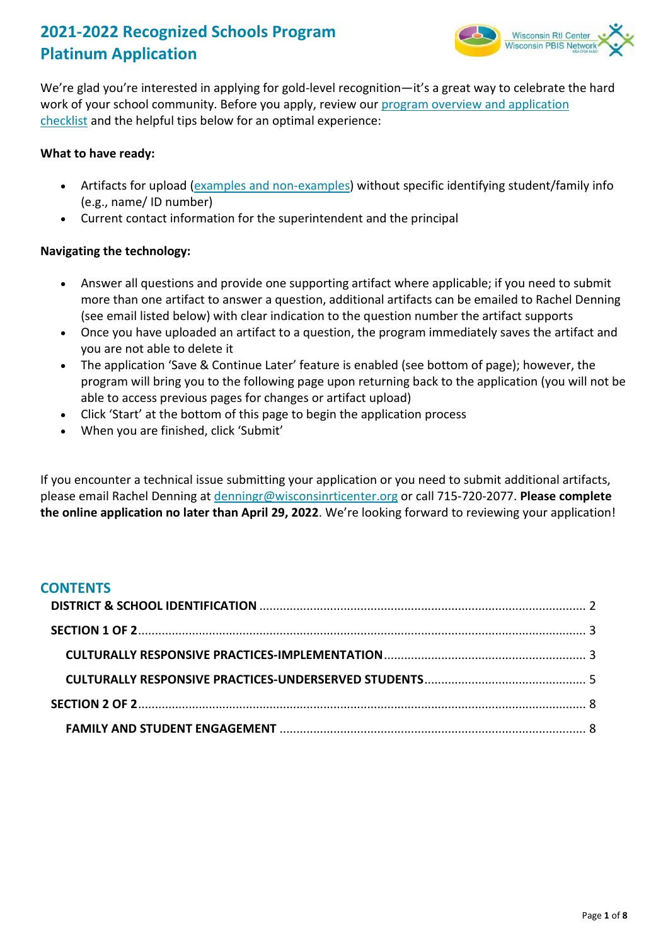# **2021-2022 Recognized Schools Program Platinum Application**



We're glad you're interested in applying for gold-level recognition—it's a great way to celebrate the hard work of your school community. Before you apply, review our program overview and application [checklist](https://www.wisconsinrticenter.org/wp-content/uploads/2022/03/2021-2022-Platinum-Application-One-Pager-1.pdf) and the helpful tips below for an optimal experience:

## **What to have ready:**

- Artifacts for upload [\(examples and non-examples\)](https://docs.google.com/document/d/1xg73_noiIzmKkWL4o9Rtm__nb-MjhlznAOM0IVcHcEw/edit?usp=sharing) without specific identifying student/family info (e.g., name/ ID number)
- Current contact information for the superintendent and the principal

# **Navigating the technology:**

- Answer all questions and provide one supporting artifact where applicable; if you need to submit more than one artifact to answer a question, additional artifacts can be emailed to Rachel Denning (see email listed below) with clear indication to the question number the artifact supports
- Once you have uploaded an artifact to a question, the program immediately saves the artifact and you are not able to delete it
- The application 'Save & Continue Later' feature is enabled (see bottom of page); however, the program will bring you to the following page upon returning back to the application (you will not be able to access previous pages for changes or artifact upload)
- Click 'Start' at the bottom of this page to begin the application process
- When you are finished, click 'Submit'

If you encounter a technical issue submitting your application or you need to submit additional artifacts, please email Rachel Denning at [denningr@wisconsinrticenter.org](mailto:denningr@wisconsinrticenter.org?subject=Platinum%20Application) or call 715-720-2077. **Please complete the online application no later than April 29, 2022**. We're looking forward to reviewing your application!

# **CONTENTS**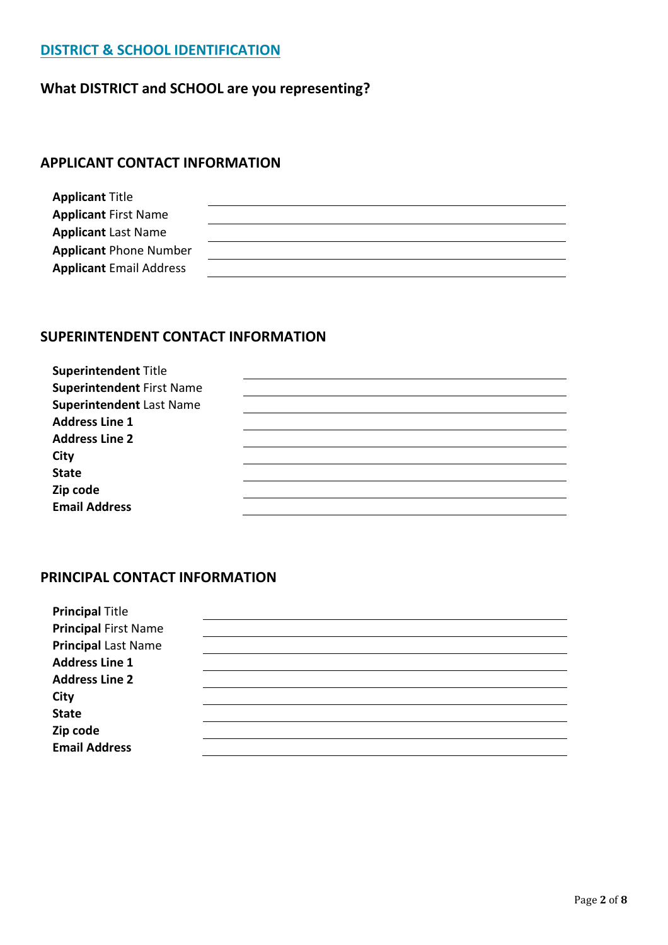# **DISTRICT & SCHOOL IDENTIFICATION**

# **What DISTRICT and SCHOOL are you representing?**

# **APPLICANT CONTACT INFORMATION**

| <b>Applicant Title</b>         |  |
|--------------------------------|--|
| <b>Applicant First Name</b>    |  |
| <b>Applicant Last Name</b>     |  |
| <b>Applicant Phone Number</b>  |  |
| <b>Applicant Email Address</b> |  |

# **SUPERINTENDENT CONTACT INFORMATION**

| <b>Superintendent Title</b>      |  |
|----------------------------------|--|
| <b>Superintendent First Name</b> |  |
| <b>Superintendent Last Name</b>  |  |
| <b>Address Line 1</b>            |  |
| <b>Address Line 2</b>            |  |
| <b>City</b>                      |  |
| <b>State</b>                     |  |
| Zip code                         |  |
| <b>Email Address</b>             |  |

### **PRINCIPAL CONTACT INFORMATION**

| <b>Principal Title</b>      |  |
|-----------------------------|--|
| <b>Principal First Name</b> |  |
| <b>Principal Last Name</b>  |  |
| <b>Address Line 1</b>       |  |
| <b>Address Line 2</b>       |  |
| <b>City</b>                 |  |
| <b>State</b>                |  |
| Zip code                    |  |
| <b>Email Address</b>        |  |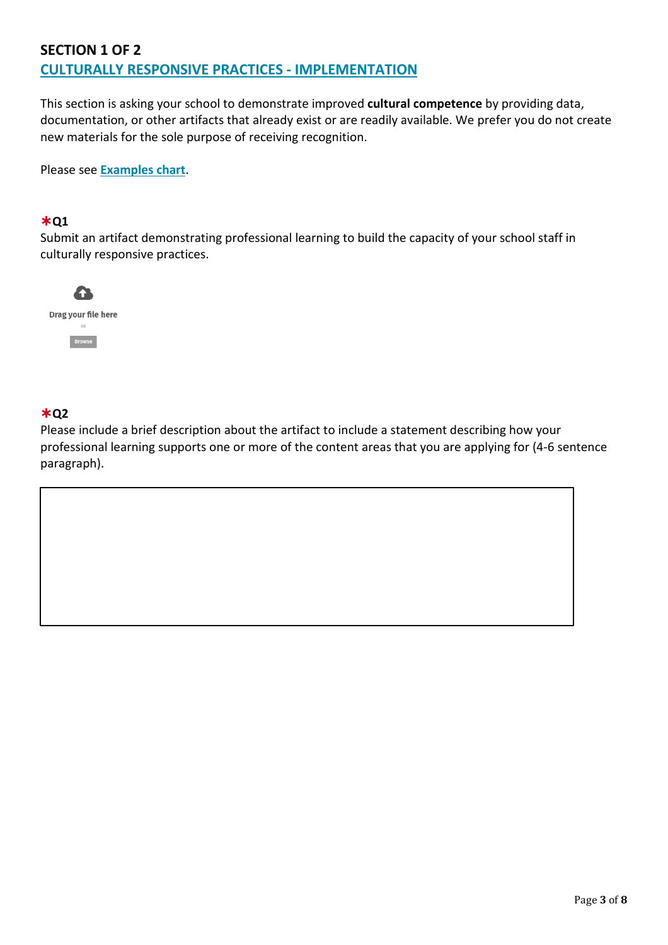# **SECTION 1 OF 2 CULTURALLY RESPONSIVE PRACTICES - IMPLEMENTATION**

This section is asking your school to demonstrate improved **cultural competence** by providing data, documentation, or other artifacts that already exist or are readily available. We prefer you do not create new materials for the sole purpose of receiving recognition.

Please see **[Examples chart](https://docs.google.com/document/d/1xg73_noiIzmKkWL4o9Rtm__nb-MjhlznAOM0IVcHcEw/edit?usp=sharing)**.

### ✱**Q1**

Submit an artifact demonstrating professional learning to build the capacity of your school staff in culturally responsive practices.



## ✱**Q2**

Please include a brief description about the artifact to include a statement describing how your professional learning supports one or more of the content areas that you are applying for (4-6 sentence paragraph).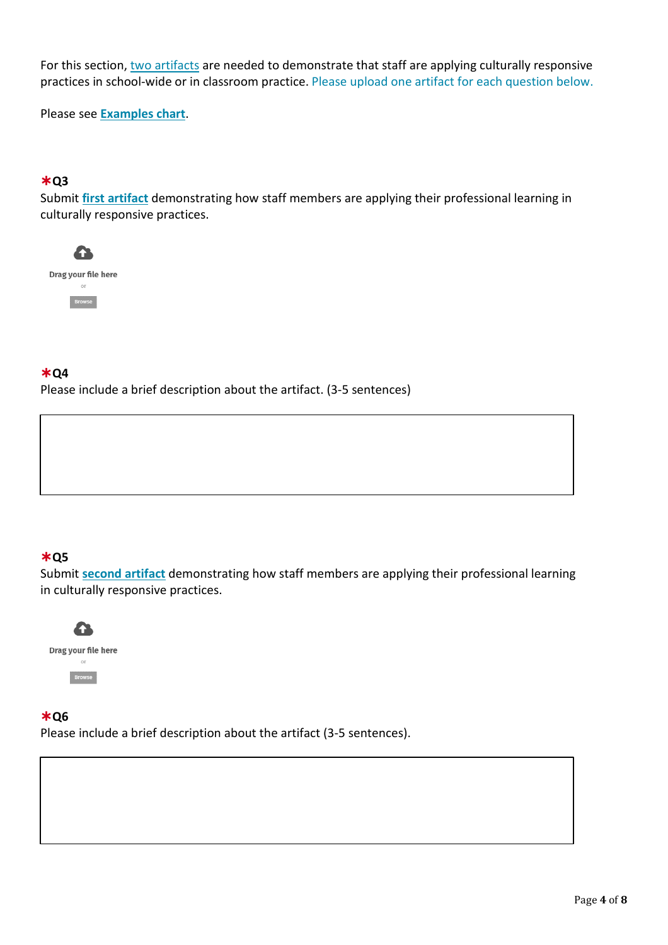For this section, two artifacts are needed to demonstrate that staff are applying culturally responsive practices in school-wide or in classroom practice. Please upload one artifact for each question below.

Please see **[Examples chart](https://docs.google.com/document/d/1xg73_noiIzmKkWL4o9Rtm__nb-MjhlznAOM0IVcHcEw/edit?usp=sharing)**.

## ✱**Q3**

Submit **first artifact** demonstrating how staff members are applying their professional learning in culturally responsive practices.



## ✱**Q4**

Please include a brief description about the artifact. (3-5 sentences)

# ✱**Q5**

Submit **second artifact** demonstrating how staff members are applying their professional learning in culturally responsive practices.



### ✱**Q6**

Please include a brief description about the artifact (3-5 sentences).

**CULTURALLY RESPONSIVE PRACTICES - UNDERSERVED GROUPS**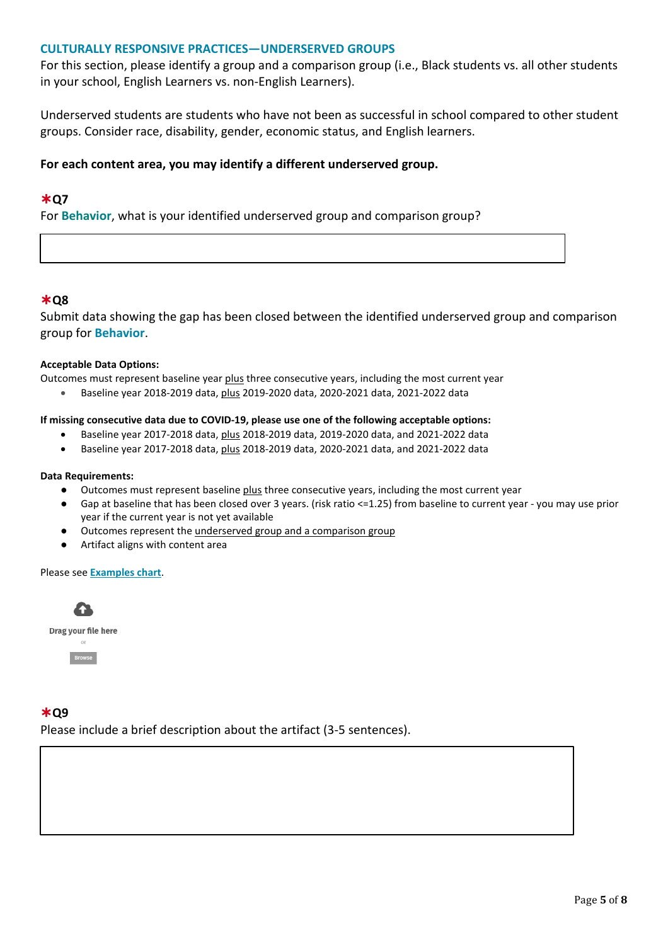### **CULTURALLY RESPONSIVE PRACTICES—UNDERSERVED GROUPS**

For this section, please identify a group and a comparison group (i.e., Black students vs. all other students in your school, English Learners vs. non-English Learners).

Underserved students are students who have not been as successful in school compared to other student groups. Consider race, disability, gender, economic status, and English learners.

### **For each content area, you may identify a different underserved group.**

### ✱**Q7**

For **Behavior**, what is your identified underserved group and comparison group?

### ✱**Q8**

Submit data showing the gap has been closed between the identified underserved group and comparison group for **Behavior**.

#### **Acceptable Data Options:**

Outcomes must represent baseline year plus three consecutive years, including the most current year

• Baseline year 2018-2019 data, plus 2019-2020 data, 2020-2021 data, 2021-2022 data

#### **If missing consecutive data due to COVID-19, please use one of the following acceptable options:**

- Baseline year 2017-2018 data, plus 2018-2019 data, 2019-2020 data, and 2021-2022 data
- Baseline year 2017-2018 data, plus 2018-2019 data, 2020-2021 data, and 2021-2022 data

#### **Data Requirements:**

- Outcomes must represent baseline plus three consecutive years, including the most current year
- Gap at baseline that has been closed over 3 years. (risk ratio <=1.25) from baseline to current year you may use prior year if the current year is not yet available
- Outcomes represent the underserved group and a comparison group
- Artifact aligns with content area

#### Please see **[Examples chart](https://docs.google.com/document/d/1xg73_noiIzmKkWL4o9Rtm__nb-MjhlznAOM0IVcHcEw/edit?usp=sharing)**.



### ✱**Q9**

Please include a brief description about the artifact (3-5 sentences).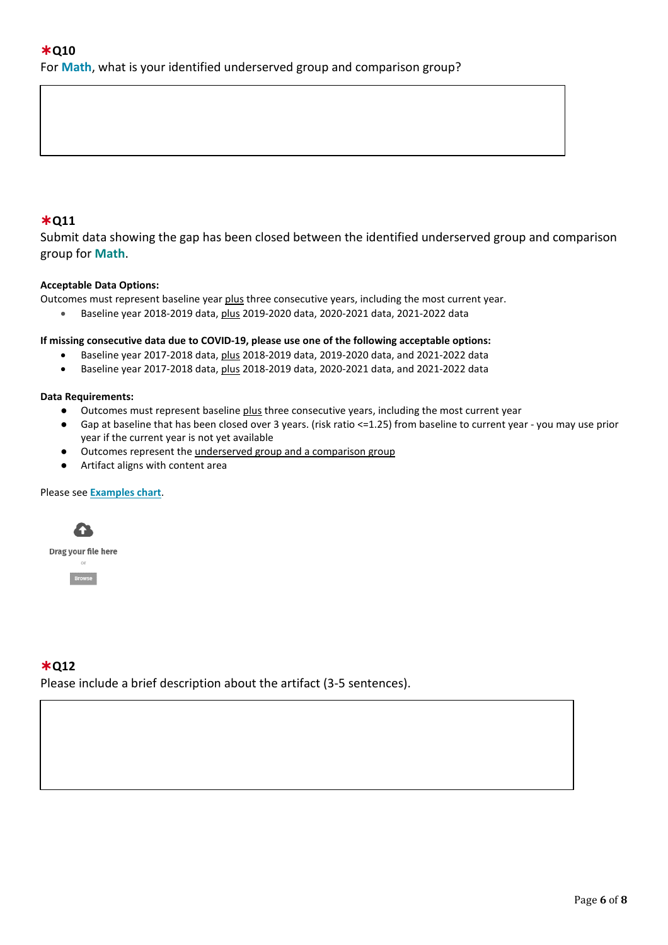### ✱**Q11**

Submit data showing the gap has been closed between the identified underserved group and comparison group for **Math**.

### **Acceptable Data Options:**

Outcomes must represent baseline year plus three consecutive years, including the most current year.

• Baseline year 2018-2019 data, plus 2019-2020 data, 2020-2021 data, 2021-2022 data

#### **If missing consecutive data due to COVID-19, please use one of the following acceptable options:**

- Baseline year 2017-2018 data, plus 2018-2019 data, 2019-2020 data, and 2021-2022 data
- Baseline year 2017-2018 data, plus 2018-2019 data, 2020-2021 data, and 2021-2022 data

#### **Data Requirements:**

- Outcomes must represent baseline plus three consecutive years, including the most current year
- Gap at baseline that has been closed over 3 years. (risk ratio <=1.25) from baseline to current year you may use prior year if the current year is not yet available
- Outcomes represent the underserved group and a comparison group
- Artifact aligns with content area

#### Please see **[Examples chart](https://docs.google.com/document/d/1xg73_noiIzmKkWL4o9Rtm__nb-MjhlznAOM0IVcHcEw/edit?usp=sharing)**.



Drag your file here  $or$ 



### ✱**Q12**

Please include a brief description about the artifact (3-5 sentences).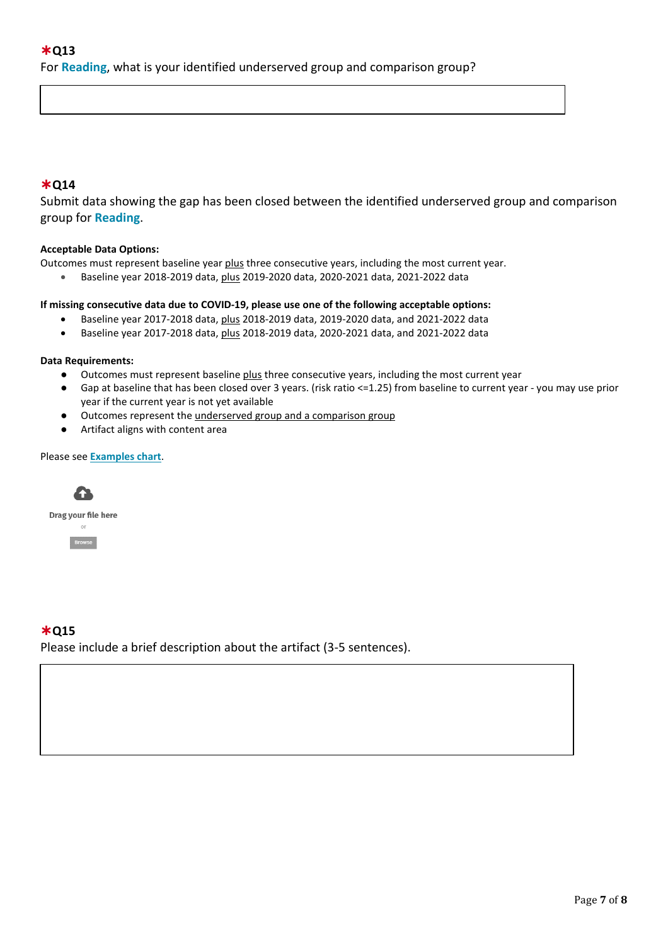### ✱**Q14**

Submit data showing the gap has been closed between the identified underserved group and comparison group for **Reading**.

#### **Acceptable Data Options:**

Outcomes must represent baseline year plus three consecutive years, including the most current year.

• Baseline year 2018-2019 data, plus 2019-2020 data, 2020-2021 data, 2021-2022 data

#### **If missing consecutive data due to COVID-19, please use one of the following acceptable options:**

- Baseline year 2017-2018 data, plus 2018-2019 data, 2019-2020 data, and 2021-2022 data
- Baseline year 2017-2018 data, plus 2018-2019 data, 2020-2021 data, and 2021-2022 data

#### **Data Requirements:**

- Outcomes must represent baseline plus three consecutive years, including the most current year
- Gap at baseline that has been closed over 3 years. (risk ratio <=1.25) from baseline to current year you may use prior year if the current year is not yet available
- Outcomes represent the underserved group and a comparison group
- Artifact aligns with content area

#### Please see **[Examples chart](https://docs.google.com/document/d/1xg73_noiIzmKkWL4o9Rtm__nb-MjhlznAOM0IVcHcEw/edit?usp=sharing)**.



# ✱**Q15**

Please include a brief description about the artifact (3-5 sentences).